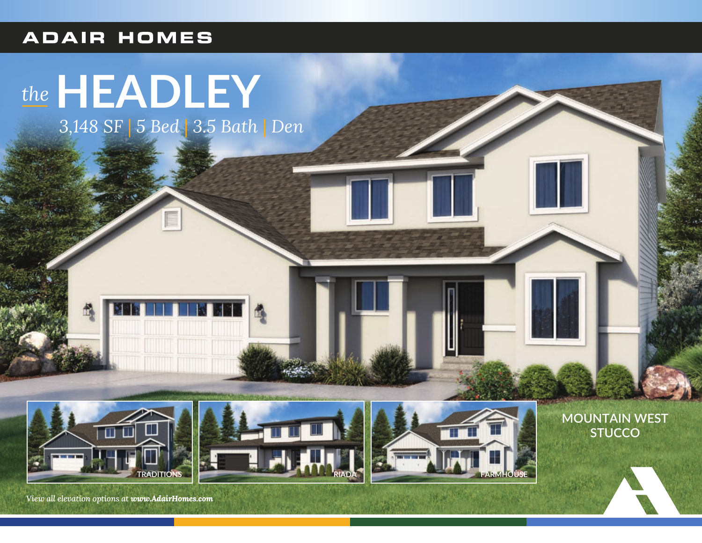## **ADAIR HOMES**

## *the***HEADLEY**

*3,148 SF* | *5 Bed* | *3.5 Bath* | *Den*

INI



*View all elevation options at www.AdairHomes.com*